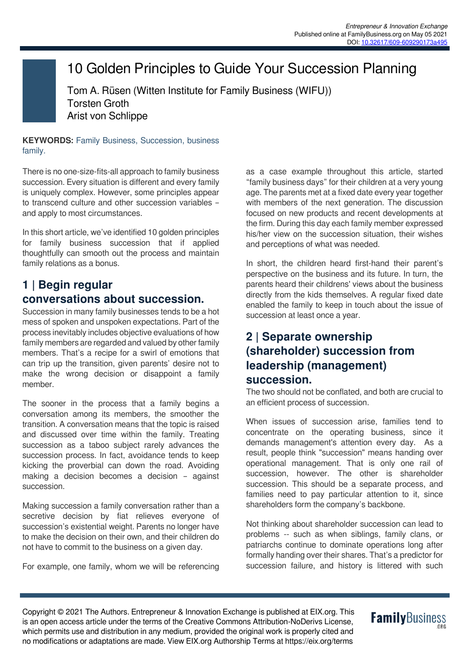## 10 Golden Principles to Guide Your Succession Planning

Tom A. Rüsen (Witten Institute for Family Business (WIFU)) Torsten Groth Arist von Schlippe

**KEYWORDS:** Family Business, Succession, business family.

There is no one-size-fits-all approach to family business succession. Every situation is different and every family is uniquely complex. However, some principles appear to transcend culture and other succession variables – and apply to most circumstances.

In this short article, we've identified 10 golden principles for family business succession that if applied thoughtfully can smooth out the process and maintain family relations as a bonus.

#### **1 | Begin regular conversations about succession.**

Succession in many family businesses tends to be a hot mess of spoken and unspoken expectations. Part of the process inevitably includes objective evaluations of how family members are regarded and valued by other family members. That's a recipe for a swirl of emotions that can trip up the transition, given parents' desire not to make the wrong decision or disappoint a family member.

The sooner in the process that a family begins a conversation among its members, the smoother the transition. A conversation means that the topic is raised and discussed over time within the family. Treating succession as a taboo subject rarely advances the succession process. In fact, avoidance tends to keep kicking the proverbial can down the road. Avoiding making a decision becomes a decision – against succession.

Making succession a family conversation rather than a secretive decision by fiat relieves everyone of succession's existential weight. Parents no longer have to make the decision on their own, and their children do not have to commit to the business on a given day.

For example, one family, whom we will be referencing

as a case example throughout this article, started "family business days" for their children at a very young age. The parents met at a fixed date every year together with members of the next generation. The discussion focused on new products and recent developments at the firm. During this day each family member expressed his/her view on the succession situation, their wishes and perceptions of what was needed.

In short, the children heard first-hand their parent's perspective on the business and its future. In turn, the parents heard their childrens' views about the business directly from the kids themselves. A regular fixed date enabled the family to keep in touch about the issue of succession at least once a year.

#### **2 | Separate ownership (shareholder) succession from leadership (management) succession.**

The two should not be conflated, and both are crucial to an efficient process of succession.

When issues of succession arise, families tend to concentrate on the operating business, since it demands management's attention every day. As a result, people think "succession" means handing over operational management. That is only one rail of succession, however. The other is shareholder succession. This should be a separate process, and families need to pay particular attention to it, since shareholders form the company's backbone.

Not thinking about shareholder succession can lead to problems -- such as when siblings, family clans, or patriarchs continue to dominate operations long after formally handing over their shares. That's a predictor for succession failure, and history is littered with such

Copyright © 2021 The Authors. Entrepreneur & Innovation Exchange is published at EIX.org. This is an open access article under the terms of the Creative Commons Attribution-NoDerivs License, which permits use and distribution in any medium, provided the original work is properly cited and no modifications or adaptations are made. View EIX.org Authorship Terms at https://eix.org/terms

# **Family**Business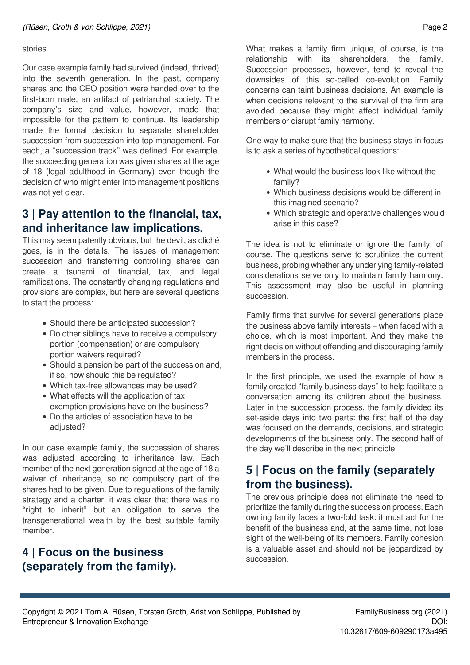#### stories.

Our case example family had survived (indeed, thrived) into the seventh generation. In the past, company shares and the CEO position were handed over to the first-born male, an artifact of patriarchal society. The company's size and value, however, made that impossible for the pattern to continue. Its leadership made the formal decision to separate shareholder succession from succession into top management. For each, a "succession track" was defined. For example, the succeeding generation was given shares at the age of 18 (legal adulthood in Germany) even though the decision of who might enter into management positions was not yet clear.

#### **3 | Pay attention to the financial, tax, and inheritance law implications.**

This may seem patently obvious, but the devil, as cliché goes, is in the details. The issues of management succession and transferring controlling shares can create a tsunami of financial, tax, and legal ramifications. The constantly changing regulations and provisions are complex, but here are several questions to start the process:

- Should there be anticipated succession?
- Do other siblings have to receive a compulsory portion (compensation) or are compulsory portion waivers required?
- Should a pension be part of the succession and, if so, how should this be regulated?
- Which tax-free allowances may be used?
- What effects will the application of tax exemption provisions have on the business?
- Do the articles of association have to be adjusted?

In our case example family, the succession of shares was adjusted according to inheritance law. Each member of the next generation signed at the age of 18 a waiver of inheritance, so no compulsory part of the shares had to be given. Due to regulations of the family strategy and a charter, it was clear that there was no "right to inherit" but an obligation to serve the transgenerational wealth by the best suitable family member.

#### **4 | Focus on the business (separately from the family).**

What makes a family firm unique, of course, is the relationship with its shareholders, the family. Succession processes, however, tend to reveal the downsides of this so-called co-evolution. Family concerns can taint business decisions. An example is when decisions relevant to the survival of the firm are avoided because they might affect individual family members or disrupt family harmony.

One way to make sure that the business stays in focus is to ask a series of hypothetical questions:

- What would the business look like without the family?
- Which business decisions would be different in this imagined scenario?
- Which strategic and operative challenges would arise in this case?

The idea is not to eliminate or ignore the family, of course. The questions serve to scrutinize the current business, probing whether any underlying family-related considerations serve only to maintain family harmony. This assessment may also be useful in planning succession.

Family firms that survive for several generations place the business above family interests – when faced with a choice, which is most important. And they make the right decision without offending and discouraging family members in the process.

In the first principle, we used the example of how a family created "family business days" to help facilitate a conversation among its children about the business. Later in the succession process, the family divided its set-aside days into two parts: the first half of the day was focused on the demands, decisions, and strategic developments of the business only. The second half of the day we'll describe in the next principle.

#### **5 | Focus on the family (separately from the business).**

The previous principle does not eliminate the need to prioritize the family during the succession process. Each owning family faces a two-fold task: it must act for the benefit of the business and, at the same time, not lose sight of the well-being of its members. Family cohesion is a valuable asset and should not be jeopardized by succession.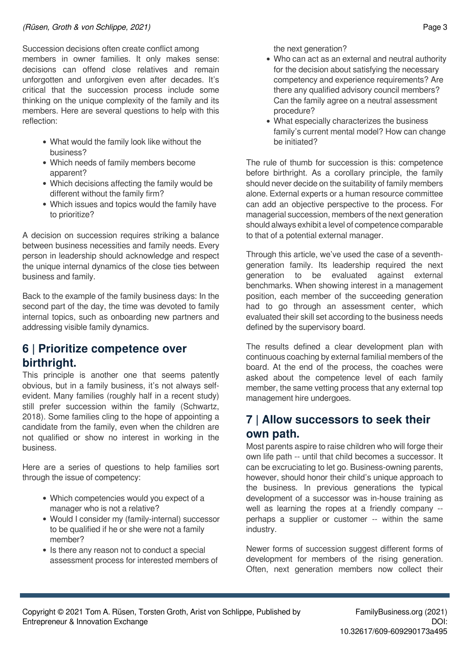Succession decisions often create conflict among members in owner families. It only makes sense: decisions can offend close relatives and remain unforgotten and unforgiven even after decades. It's critical that the succession process include some thinking on the unique complexity of the family and its members. Here are several questions to help with this reflection:

- What would the family look like without the business?
- Which needs of family members become apparent?
- Which decisions affecting the family would be different without the family firm?
- Which issues and topics would the family have to prioritize?

A decision on succession requires striking a balance between business necessities and family needs. Every person in leadership should acknowledge and respect the unique internal dynamics of the close ties between business and family.

Back to the example of the family business days: In the second part of the day, the time was devoted to family internal topics, such as onboarding new partners and addressing visible family dynamics.

#### **6 | Prioritize competence over birthright.**

This principle is another one that seems patently obvious, but in a family business, it's not always selfevident. Many families (roughly half in a recent study) still prefer succession within the family (Schwartz, 2018). Some families cling to the hope of appointing a candidate from the family, even when the children are not qualified or show no interest in working in the business.

Here are a series of questions to help families sort through the issue of competency:

- Which competencies would you expect of a manager who is not a relative?
- Would I consider my (family-internal) successor to be qualified if he or she were not a family member?
- Is there any reason not to conduct a special assessment process for interested members of

the next generation?

- Who can act as an external and neutral authority for the decision about satisfying the necessary competency and experience requirements? Are there any qualified advisory council members? Can the family agree on a neutral assessment procedure?
- What especially characterizes the business family's current mental model? How can change be initiated?

The rule of thumb for succession is this: competence before birthright. As a corollary principle, the family should never decide on the suitability of family members alone. External experts or a human resource committee can add an objective perspective to the process. For managerial succession, members of the next generation should always exhibit a level of competence comparable to that of a potential external manager.

Through this article, we've used the case of a seventhgeneration family. Its leadership required the next generation to be evaluated against external benchmarks. When showing interest in a management position, each member of the succeeding generation had to go through an assessment center, which evaluated their skill set according to the business needs defined by the supervisory board.

The results defined a clear development plan with continuous coaching by external familial members of the board. At the end of the process, the coaches were asked about the competence level of each family member, the same vetting process that any external top management hire undergoes.

### **7 | Allow successors to seek their own path.**

Most parents aspire to raise children who will forge their own life path -- until that child becomes a successor. It can be excruciating to let go. Business-owning parents, however, should honor their child's unique approach to the business. In previous generations the typical development of a successor was in-house training as well as learning the ropes at a friendly company - perhaps a supplier or customer -- within the same industry.

Newer forms of succession suggest different forms of development for members of the rising generation. Often, next generation members now collect their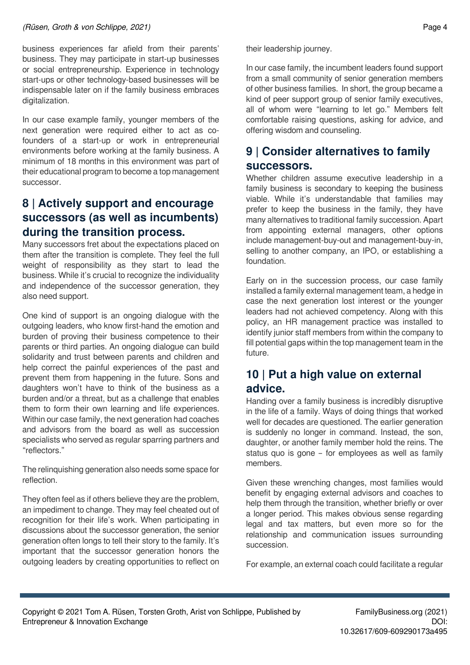#### *(Rüsen, Groth & von Schlippe, 2021)* Page 4

business experiences far afield from their parents' business. They may participate in start-up businesses or social entrepreneurship. Experience in technology start-ups or other technology-based businesses will be indispensable later on if the family business embraces digitalization.

In our case example family, younger members of the next generation were required either to act as cofounders of a start-up or work in entrepreneurial environments before working at the family business. A minimum of 18 months in this environment was part of their educational program to become a top management successor.

#### **8 | Actively support and encourage successors (as well as incumbents) during the transition process.**

Many successors fret about the expectations placed on them after the transition is complete. They feel the full weight of responsibility as they start to lead the business. While it's crucial to recognize the individuality and independence of the successor generation, they also need support.

One kind of support is an ongoing dialogue with the outgoing leaders, who know first-hand the emotion and burden of proving their business competence to their parents or third parties. An ongoing dialogue can build solidarity and trust between parents and children and help correct the painful experiences of the past and prevent them from happening in the future. Sons and daughters won't have to think of the business as a burden and/or a threat, but as a challenge that enables them to form their own learning and life experiences. Within our case family, the next generation had coaches and advisors from the board as well as succession specialists who served as regular sparring partners and "reflectors."

The relinquishing generation also needs some space for reflection.

They often feel as if others believe they are the problem, an impediment to change. They may feel cheated out of recognition for their life's work. When participating in discussions about the successor generation, the senior generation often longs to tell their story to the family. It's important that the successor generation honors the outgoing leaders by creating opportunities to reflect on their leadership journey.

In our case family, the incumbent leaders found support from a small community of senior generation members of other business families. In short, the group became a kind of peer support group of senior family executives, all of whom were "learning to let go." Members felt comfortable raising questions, asking for advice, and offering wisdom and counseling.

### **9 | Consider alternatives to family successors.**

Whether children assume executive leadership in a family business is secondary to keeping the business viable. While it's understandable that families may prefer to keep the business in the family, they have many alternatives to traditional family succession. Apart from appointing external managers, other options include management-buy-out and management-buy-in, selling to another company, an IPO, or establishing a foundation.

Early on in the succession process, our case family installed a family external management team, a hedge in case the next generation lost interest or the younger leaders had not achieved competency. Along with this policy, an HR management practice was installed to identify junior staff members from within the company to fill potential gaps within the top management team in the future.

#### **10 | Put a high value on external advice.**

Handing over a family business is incredibly disruptive in the life of a family. Ways of doing things that worked well for decades are questioned. The earlier generation is suddenly no longer in command. Instead, the son, daughter, or another family member hold the reins. The status quo is gone – for employees as well as family members.

Given these wrenching changes, most families would benefit by engaging external advisors and coaches to help them through the transition, whether briefly or over a longer period. This makes obvious sense regarding legal and tax matters, but even more so for the relationship and communication issues surrounding succession.

For example, an external coach could facilitate a regular